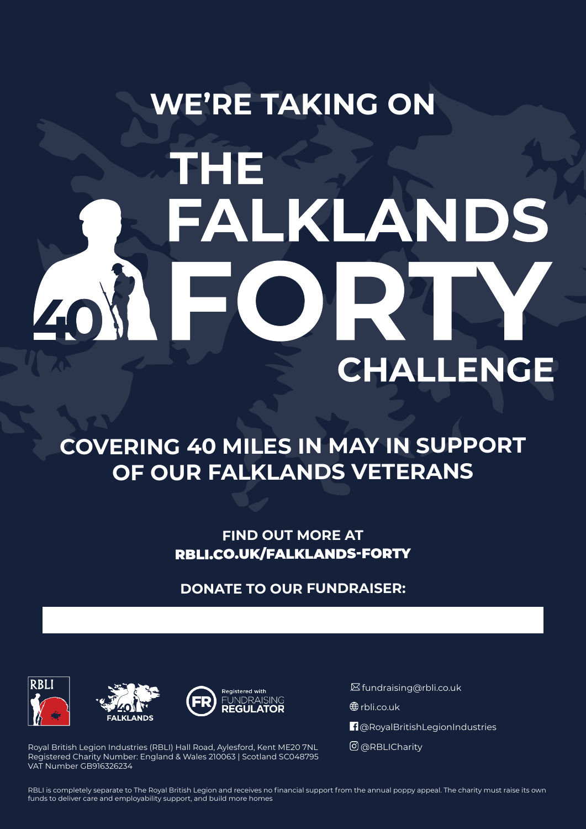# **WE'RE TAKING ON** THE FALKLANDS EC **CHALLENGE**

#### **COVERING 40 MILES IN MAY IN SUPPORT OF OUR FALKLANDS VETERANS**

**FIND OUT MORE AT** RBLI.CO.UK/FALKLANDS-FORTY

**DONATE TO OUR FUNDRAISER:**







. fundraising@rbli.co.uk

**<sup>⊕</sup>**rbli.co.uk

**n** @RoyalBritishLegionIndustries

@RBLICharity

Royal British Legion Industries (RBLI) Hall Road, Aylesford, Kent ME20 7NL Registered Charity Number: England & Wales 210063 | Scotland SC048795 VAT Number GB916326234

RBLI is completely separate to The Royal British Legion and receives no financial support from the annual poppy appeal. The charity must raise its own funds to deliver care and employability support, and build more homes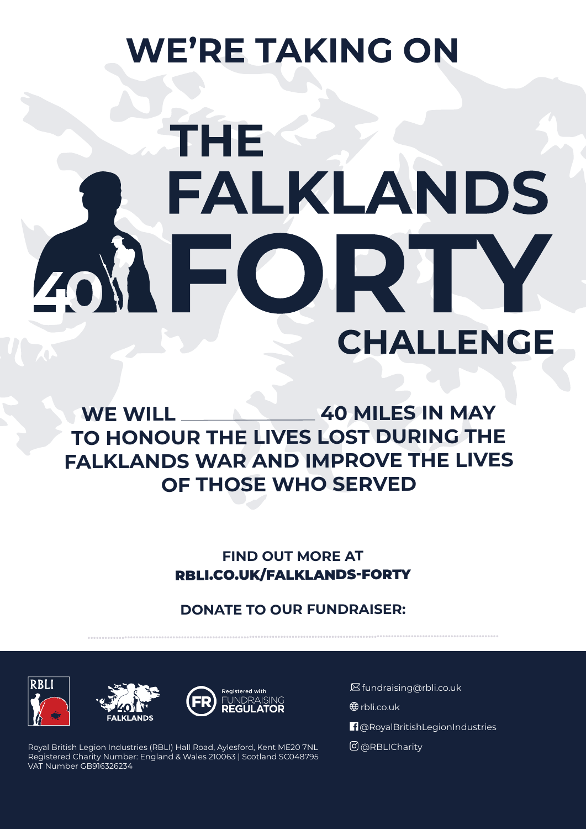## **WE'RE TAKING ON**

# **THE** FALKLANDS EOR **CHALLENGE**

WE WILL **40 MILES IN MAY TO HONOUR THE LIVES LOST DURING THE FALKLANDS WAR AND IMPROVE THE LIVES OF THOSE WHO SERVED**

> **FIND OUT MORE AT** RBLI.CO.UK/FALKLANDS-FORTY

#### **DONATE TO OUR FUNDRAISER:**

**.................................................................................................................................................**







Royal British Legion Industries (RBLI) Hall Road, Aylesford, Kent ME20 7NL Registered Charity Number: England & Wales 210063 | Scotland SC048795 VAT Number GB916326234

. fundraising@rbli.co.uk

**<sup>⊕</sup>**rbli.co.uk

@RoyalBritishLegionIndustries

@RBLICharity